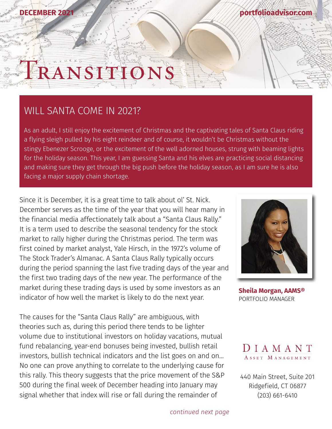# ANSIT

#### WILL SANTA COME IN 2021?

**DECEMBER 2021**

As an adult, I still enjoy the excitement of Christmas and the captivating tales of Santa Claus riding a flying sleigh pulled by his eight reindeer and of course, it wouldn't be Christmas without the stingy Ebenezer Scrooge, or the excitement of the well adorned houses, strung with beaming lights for the holiday season. This year, I am guessing Santa and his elves are practicing social distancing and making sure they get through the big push before the holiday season, as I am sure he is also facing a major supply chain shortage.

Since it is December, it is a great time to talk about ol' St. Nick. December serves as the time of the year that you will hear many in the financial media affectionately talk about a "Santa Claus Rally." It is a term used to describe the seasonal tendency for the stock market to rally higher during the Christmas period. The term was first coined by market analyst, Yale Hirsch, in the 1972's volume of The Stock Trader's Almanac. A Santa Claus Rally typically occurs during the period spanning the last five trading days of the year and the first two trading days of the new year. The performance of the market during these trading days is used by some investors as an indicator of how well the market is likely to do the next year.

The causes for the "Santa Claus Rally" are ambiguous, with theories such as, during this period there tends to be lighter volume due to institutional investors on holiday vacations, mutual fund rebalancing, year-end bonuses being invested, bullish retail investors, bullish technical indicators and the list goes on and on… No one can prove anything to correlate to the underlying cause for this rally. This theory suggests that the price movement of the S&P 500 during the final week of December heading into January may signal whether that index will rise or fall during the remainder of



**[portfolioadvisor.com](http://portfolioadvisor.com)**

**[Sheila Morgan, AAMS®](http://portfolioadvisor.com/team)** PORTFOLIO MANAGER



[440 Main Street, Suite 201](http://www.portfolioadvisor.com) Ridgefield, CT 06877 (203) 661-6410

*continued next page*